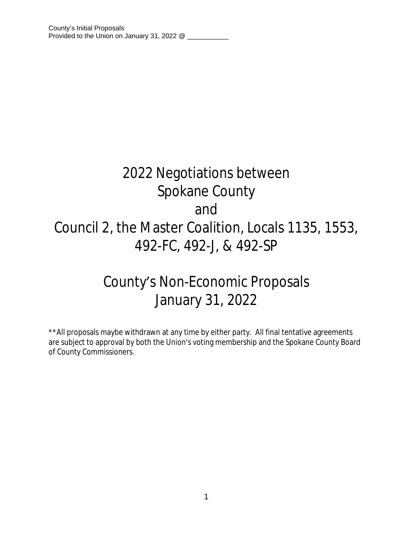# 2022 Negotiations between Spokane County and Council 2, the Master Coalition, Locals 1135, 1553, 492-FC, 492-J, & 492-SP

# County's Non-Economic Proposals January 31, 2022

\*\*All proposals maybe withdrawn at any time by either party. All final tentative agreements are subject to approval by both the Union's voting membership and the Spokane County Board of County Commissioners.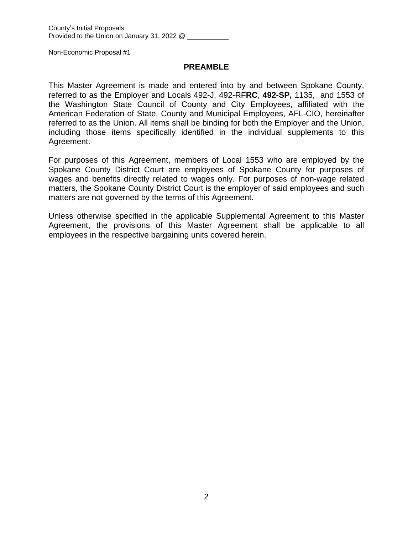# **PREAMBLE**

This Master Agreement is made and entered into by and between Spokane County, referred to as the Employer and Locals 492-J, 492-RF**RC**, **492-SP,** 1135, and 1553 of the Washington State Council of County and City Employees, affiliated with the American Federation of State, County and Municipal Employees, AFL-CIO, hereinafter referred to as the Union. All items shall be binding for both the Employer and the Union, including those items specifically identified in the individual supplements to this Agreement.

For purposes of this Agreement, members of Local 1553 who are employed by the Spokane County District Court are employees of Spokane County for purposes of wages and benefits directly related to wages only. For purposes of non-wage related matters, the Spokane County District Court is the employer of said employees and such matters are not governed by the terms of this Agreement.

Unless otherwise specified in the applicable Supplemental Agreement to this Master Agreement, the provisions of this Master Agreement shall be applicable to all employees in the respective bargaining units covered herein.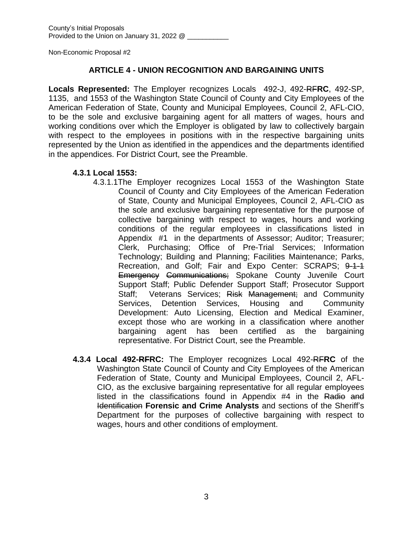# **ARTICLE 4 - UNION RECOGNITION AND BARGAINING UNITS**

**Locals Represented:** The Employer recognizes Locals 492-J, 492-RF**RC**, 492-SP, 1135, and 1553 of the Washington State Council of County and City Employees of the American Federation of State, County and Municipal Employees, Council 2, AFL-CIO, to be the sole and exclusive bargaining agent for all matters of wages, hours and working conditions over which the Employer is obligated by law to collectively bargain with respect to the employees in positions with in the respective bargaining units represented by the Union as identified in the appendices and the departments identified in the appendices. For District Court, see the Preamble.

# **4.3.1 Local 1553:**

- 4.3.1.1The Employer recognizes Local 1553 of the Washington State Council of County and City Employees of the American Federation of State, County and Municipal Employees, Council 2, AFL-CIO as the sole and exclusive bargaining representative for the purpose of collective bargaining with respect to wages, hours and working conditions of the regular employees in classifications listed in Appendix #1 in the departments of Assessor; Auditor; Treasurer; Clerk, Purchasing; Office of Pre-Trial Services; Information Technology; Building and Planning; Facilities Maintenance; Parks, Recreation, and Golf; Fair and Expo Center: SCRAPS; 9-1-1 Emergency Communications; Spokane County Juvenile Court Support Staff; Public Defender Support Staff; Prosecutor Support Staff: Veterans Services: Risk Management: and Community Services, Detention Services, Housing and Community Development: Auto Licensing, Election and Medical Examiner, except those who are working in a classification where another bargaining agent has been certified as the bargaining representative. For District Court, see the Preamble.
- **4.3.4 Local 492-RFRC:** The Employer recognizes Local 492-RF**RC** of the Washington State Council of County and City Employees of the American Federation of State, County and Municipal Employees, Council 2, AFL-CIO, as the exclusive bargaining representative for all regular employees listed in the classifications found in Appendix #4 in the Radio and Identification **Forensic and Crime Analysts** and sections of the Sheriff's Department for the purposes of collective bargaining with respect to wages, hours and other conditions of employment.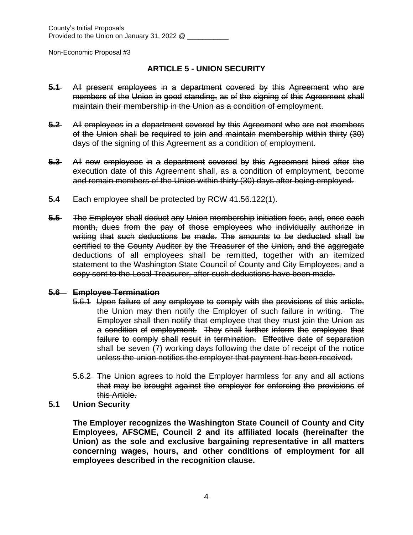# **ARTICLE 5 - UNION SECURITY**

- **5.1** All present employees in a department covered by this Agreement who are members of the Union in good standing, as of the signing of this Agreement shall maintain their membership in the Union as a condition of employment.
- **5.2** All employees in a department covered by this Agreement who are not members of the Union shall be required to join and maintain membership within thirty (30) days of the signing of this Agreement as a condition of employment.
- **5.3** All new employees in a department covered by this Agreement hired after the execution date of this Agreement shall, as a condition of employment, become and remain members of the Union within thirty (30) days after being employed.
- **5.4** Each employee shall be protected by RCW 41.56.122(1).
- **5.5** The Employer shall deduct any Union membership initiation fees, and, once each month, dues from the pay of those employees who individually authorize in writing that such deductions be made. The amounts to be deducted shall be certified to the County Auditor by the Treasurer of the Union, and the aggregate deductions of all employees shall be remitted, together with an itemized statement to the Washington State Council of County and City Employees, and a copy sent to the Local Treasurer, after such deductions have been made.

#### **5.6 Employee Termination**

- 5.6.1 Upon failure of any employee to comply with the provisions of this article, the Union may then notify the Employer of such failure in writing. The Employer shall then notify that employee that they must join the Union as a condition of employment. They shall further inform the employee that failure to comply shall result in termination. Effective date of separation shall be seven (7) working days following the date of receipt of the notice unless the union notifies the employer that payment has been received.
- 5.6.2 The Union agrees to hold the Employer harmless for any and all actions that may be brought against the employer for enforcing the provisions of this Article.
- **5.1 Union Security**

**The Employer recognizes the Washington State Council of County and City Employees, AFSCME, Council 2 and its affiliated locals (hereinafter the Union) as the sole and exclusive bargaining representative in all matters concerning wages, hours, and other conditions of employment for all employees described in the recognition clause.**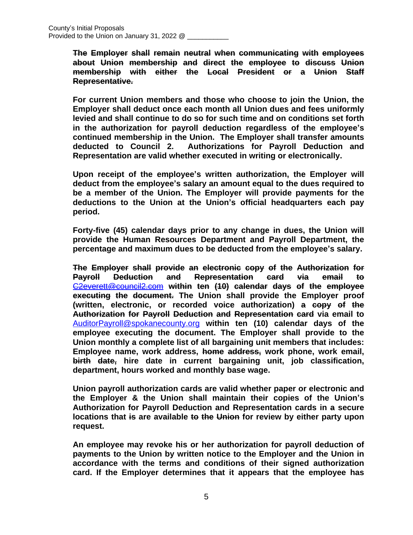**The Employer shall remain neutral when communicating with employees about Union membership and direct the employee to discuss Union membership with either the Local President or a Union Staff Representative.**

**For current Union members and those who choose to join the Union, the Employer shall deduct once each month all Union dues and fees uniformly levied and shall continue to do so for such time and on conditions set forth in the authorization for payroll deduction regardless of the employee's continued membership in the Union. The Employer shall transfer amounts deducted to Council 2. Authorizations for Payroll Deduction and Representation are valid whether executed in writing or electronically.** 

**Upon receipt of the employee's written authorization, the Employer will deduct from the employee's salary an amount equal to the dues required to be a member of the Union. The Employer will provide payments for the deductions to the Union at the Union's official headquarters each pay period.** 

**Forty-five (45) calendar days prior to any change in dues, the Union will provide the Human Resources Department and Payroll Department, the percentage and maximum dues to be deducted from the employee's salary.**

**The Employer shall provide an electronic copy of the Authorization for Payroll Deduction and Representation card via email to** [C2everett@council2.com](mailto:C2everett@council2.com) **within ten (10) calendar days of the employee executing the document. The Union shall provide the Employer proof (written, electronic, or recorded voice authorization) a copy of the Authorization for Payroll Deduction and Representation card via email to** [AuditorPayroll@spokanecounty.org](mailto:AuditorPayroll@spokanecounty.org) **within ten (10) calendar days of the employee executing the document. The Employer shall provide to the Union monthly a complete list of all bargaining unit members that includes: Employee name, work address, home address, work phone, work email, birth date, hire date in current bargaining unit, job classification, department, hours worked and monthly base wage.**

**Union payroll authorization cards are valid whether paper or electronic and the Employer & the Union shall maintain their copies of the Union's Authorization for Payroll Deduction and Representation cards in a secure locations that is are available to the Union for review by either party upon request.**

**An employee may revoke his or her authorization for payroll deduction of payments to the Union by written notice to the Employer and the Union in accordance with the terms and conditions of their signed authorization card. If the Employer determines that it appears that the employee has**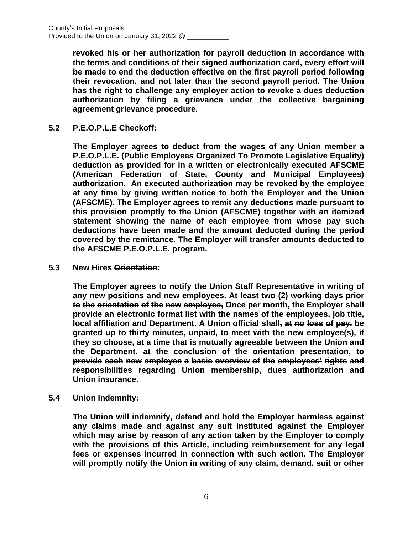**revoked his or her authorization for payroll deduction in accordance with the terms and conditions of their signed authorization card, every effort will be made to end the deduction effective on the first payroll period following their revocation, and not later than the second payroll period. The Union has the right to challenge any employer action to revoke a dues deduction authorization by filing a grievance under the collective bargaining agreement grievance procedure.**

**5.2 P.E.O.P.L.E Checkoff:**

**The Employer agrees to deduct from the wages of any Union member a P.E.O.P.L.E. (Public Employees Organized To Promote Legislative Equality) deduction as provided for in a written or electronically executed AFSCME (American Federation of State, County and Municipal Employees) authorization. An executed authorization may be revoked by the employee at any time by giving written notice to both the Employer and the Union (AFSCME). The Employer agrees to remit any deductions made pursuant to this provision promptly to the Union (AFSCME) together with an itemized statement showing the name of each employee from whose pay such deductions have been made and the amount deducted during the period covered by the remittance. The Employer will transfer amounts deducted to the AFSCME P.E.O.P.L.E. program.**

**5.3 New Hires Orientation:**

**The Employer agrees to notify the Union Staff Representative in writing of any new positions and new employees. At least two (2) working days prior to the orientation of the new employee, Once per month, the Employer shall provide an electronic format list with the names of the employees, job title, local affiliation and Department. A Union official shall, at no loss of pay, be granted up to thirty minutes, unpaid, to meet with the new employee(s), if they so choose, at a time that is mutually agreeable between the Union and the Department. at the conclusion of the orientation presentation, to provide each new employee a basic overview of the employees' rights and responsibilities regarding Union membership, dues authorization and Union insurance.**

**5.4 Union Indemnity:**

**The Union will indemnify, defend and hold the Employer harmless against any claims made and against any suit instituted against the Employer which may arise by reason of any action taken by the Employer to comply with the provisions of this Article, including reimbursement for any legal fees or expenses incurred in connection with such action. The Employer will promptly notify the Union in writing of any claim, demand, suit or other**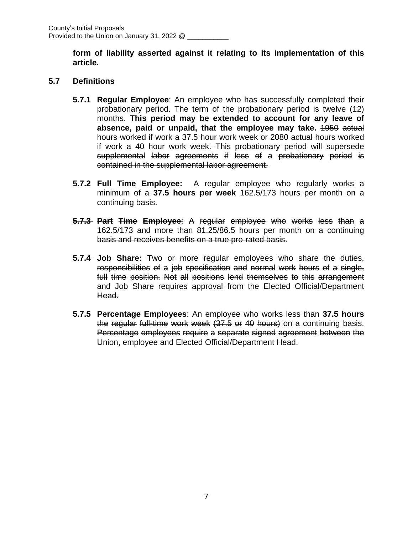**form of liability asserted against it relating to its implementation of this article.**

#### **5.7 Definitions**

- **5.7.1 Regular Employee**: An employee who has successfully completed their probationary period. The term of the probationary period is twelve (12) months. **This period may be extended to account for any leave of absence, paid or unpaid, that the employee may take.** 1950 actual hours worked if work a 37.5 hour work week or 2080 actual hours worked if work a 40 hour work week. This probationary period will supersede supplemental labor agreements if less of a probationary period is contained in the supplemental labor agreement.
- **5.7.2 Full Time Employee:** A regular employee who regularly works a minimum of a **37.5 hours per week** 162.5/173 hours per month on a continuing basis.
- **5.7.3 Part Time Employee**: A regular employee who works less than a 162.5/173 and more than 81.25/86.5 hours per month on a continuing basis and receives benefits on a true pro-rated basis.
- **5.7.4 Job Share:** Two or more regular employees who share the duties, responsibilities of a job specification and normal work hours of a single, full time position. Not all positions lend themselves to this arrangement and Job Share requires approval from the Elected Official/Department Head.
- **5.7.5 Percentage Employees**: An employee who works less than **37.5 hours** the regular full-time work week (37.5 or 40 hours) on a continuing basis. Percentage employees require a separate signed agreement between the Union, employee and Elected Official/Department Head.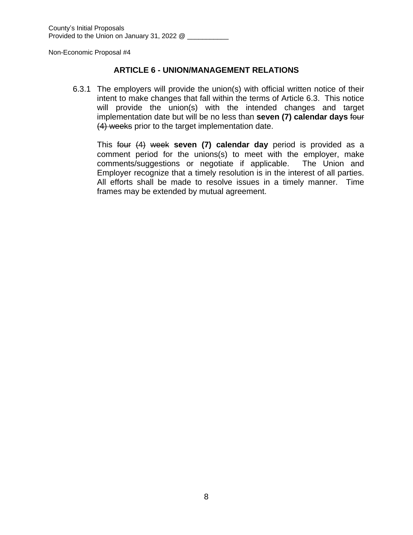# **ARTICLE 6 - UNION/MANAGEMENT RELATIONS**

6.3.1 The employers will provide the union(s) with official written notice of their intent to make changes that fall within the terms of Article 6.3. This notice will provide the union(s) with the intended changes and target implementation date but will be no less than **seven (7) calendar days** four (4) weeks prior to the target implementation date.

This four (4) week **seven (7) calendar day** period is provided as a comment period for the unions(s) to meet with the employer, make comments/suggestions or negotiate if applicable. The Union and Employer recognize that a timely resolution is in the interest of all parties. All efforts shall be made to resolve issues in a timely manner. Time frames may be extended by mutual agreement.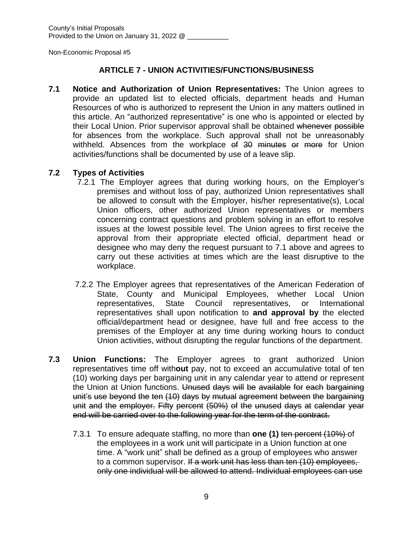# **ARTICLE 7 - UNION ACTIVITIES/FUNCTIONS/BUSINESS**

**7.1 Notice and Authorization of Union Representatives:** The Union agrees to provide an updated list to elected officials, department heads and Human Resources of who is authorized to represent the Union in any matters outlined in this article. An "authorized representative" is one who is appointed or elected by their Local Union. Prior supervisor approval shall be obtained whenever possible for absences from the workplace. Such approval shall not be unreasonably withheld. Absences from the workplace of 30 minutes or more for Union activities/functions shall be documented by use of a leave slip.

# **7.2 Types of Activities**

- 7.2.1 The Employer agrees that during working hours, on the Employer's premises and without loss of pay, authorized Union representatives shall be allowed to consult with the Employer, his/her representative(s), Local Union officers, other authorized Union representatives or members concerning contract questions and problem solving in an effort to resolve issues at the lowest possible level. The Union agrees to first receive the approval from their appropriate elected official, department head or designee who may deny the request pursuant to 7.1 above and agrees to carry out these activities at times which are the least disruptive to the workplace.
- 7.2.2 The Employer agrees that representatives of the American Federation of State, County and Municipal Employees, whether Local Union representatives, State Council representatives, or International representatives shall upon notification to **and approval by** the elected official/department head or designee, have full and free access to the premises of the Employer at any time during working hours to conduct Union activities, without disrupting the regular functions of the department.
- **7.3 Union Functions:** The Employer agrees to grant authorized Union representatives time off with**out** pay, not to exceed an accumulative total of ten (10) working days per bargaining unit in any calendar year to attend or represent the Union at Union functions. Unused days will be available for each bargaining unit's use beyond the ten (10) days by mutual agreement between the bargaining unit and the employer. Fifty percent (50%) of the unused days at calendar year end will be carried over to the following year for the term of the contract.
	- 7.3.1 To ensure adequate staffing, no more than **one (1)** ten percent (10%) of the employees in a work unit will participate in a Union function at one time. A "work unit" shall be defined as a group of employees who answer to a common supervisor. If a work unit has less than ten (10) employees, only one individual will be allowed to attend. Individual employees can use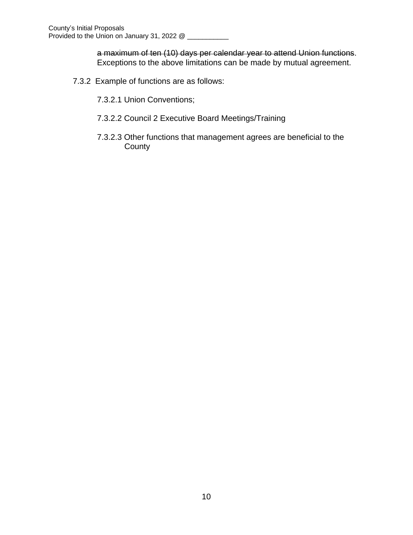a maximum of ten (10) days per calendar year to attend Union functions. Exceptions to the above limitations can be made by mutual agreement.

- 7.3.2 Example of functions are as follows:
	- 7.3.2.1 Union Conventions;
	- 7.3.2.2 Council 2 Executive Board Meetings/Training
	- 7.3.2.3 Other functions that management agrees are beneficial to the **County**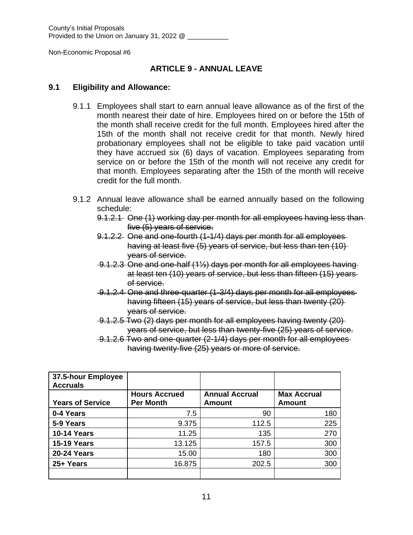County's Initial Proposals Provided to the Union on January 31, 2022 @

Non-Economic Proposal #6

# **ARTICLE 9 - ANNUAL LEAVE**

#### **9.1 Eligibility and Allowance:**

- 9.1.1 Employees shall start to earn annual leave allowance as of the first of the month nearest their date of hire. Employees hired on or before the 15th of the month shall receive credit for the full month. Employees hired after the 15th of the month shall not receive credit for that month. Newly hired probationary employees shall not be eligible to take paid vacation until they have accrued six (6) days of vacation. Employees separating from service on or before the 15th of the month will not receive any credit for that month. Employees separating after the 15th of the month will receive credit for the full month.
- 9.1.2 Annual leave allowance shall be earned annually based on the following schedule:
	- 9.1.2.1 One (1) working day per month for all employees having less than five (5) years of service.
	- 9.1.2.2 One and one-fourth (1-1/4) days per month for all employees having at least five (5) years of service, but less than ten (10) years of service.
	- 9.1.2.3 One and one-half (1½) days per month for all employees having at least ten (10) years of service, but less than fifteen (15) years of service.
	- 9.1.2.4 One and three-quarter (1-3/4) days per month for all employees having fifteen (15) years of service, but less than twenty (20) years of service.
	- 9.1.2.5 Two (2) days per month for all employees having twenty (20) years of service, but less than twenty-five (25) years of service.
	- 9.1.2.6 Two and one-quarter (2-1/4) days per month for all employees having twenty-five (25) years or more of service.

| 37.5-hour Employee<br><b>Accruals</b> |                                          |                                 |                                     |
|---------------------------------------|------------------------------------------|---------------------------------|-------------------------------------|
| <b>Years of Service</b>               | <b>Hours Accrued</b><br><b>Per Month</b> | <b>Annual Accrual</b><br>Amount | <b>Max Accrual</b><br><b>Amount</b> |
|                                       |                                          |                                 |                                     |
| 0-4 Years                             | 7.5                                      | 90                              | 180                                 |
| 5-9 Years                             | 9.375                                    | 112.5                           | 225                                 |
| <b>10-14 Years</b>                    | 11.25                                    | 135                             | 270                                 |
| <b>15-19 Years</b>                    | 13.125                                   | 157.5                           | 300                                 |
| <b>20-24 Years</b>                    | 15.00                                    | 180                             | 300                                 |
| 25+ Years                             | 16.875                                   | 202.5                           | 300                                 |
|                                       |                                          |                                 |                                     |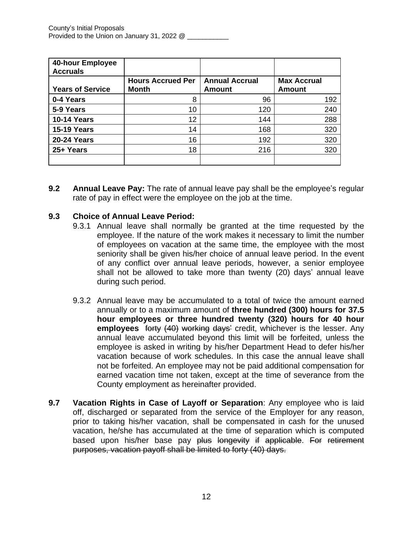| 40-hour Employee<br><b>Accruals</b> |                          |                       |                    |
|-------------------------------------|--------------------------|-----------------------|--------------------|
|                                     | <b>Hours Accrued Per</b> | <b>Annual Accrual</b> | <b>Max Accrual</b> |
| <b>Years of Service</b>             | <b>Month</b>             | <b>Amount</b>         | <b>Amount</b>      |
| 0-4 Years                           | 8                        | 96                    | 192                |
| 5-9 Years                           | 10                       | 120                   | 240                |
| <b>10-14 Years</b>                  | 12                       | 144                   | 288                |
| <b>15-19 Years</b>                  | 14                       | 168                   | 320                |
| <b>20-24 Years</b>                  | 16                       | 192                   | 320                |
| 25+ Years                           | 18                       | 216                   | 320                |
|                                     |                          |                       |                    |

**9.2 Annual Leave Pay:** The rate of annual leave pay shall be the employee's regular rate of pay in effect were the employee on the job at the time.

# **9.3 Choice of Annual Leave Period:**

- 9.3.1 Annual leave shall normally be granted at the time requested by the employee. If the nature of the work makes it necessary to limit the number of employees on vacation at the same time, the employee with the most seniority shall be given his/her choice of annual leave period. In the event of any conflict over annual leave periods, however, a senior employee shall not be allowed to take more than twenty (20) days' annual leave during such period.
- 9.3.2 Annual leave may be accumulated to a total of twice the amount earned annually or to a maximum amount of **three hundred (300) hours for 37.5 hour employees or three hundred twenty (320) hours for 40 hour employees** forty (40) working days' credit, whichever is the lesser. Any annual leave accumulated beyond this limit will be forfeited, unless the employee is asked in writing by his/her Department Head to defer his/her vacation because of work schedules. In this case the annual leave shall not be forfeited. An employee may not be paid additional compensation for earned vacation time not taken, except at the time of severance from the County employment as hereinafter provided.
- **9.7 Vacation Rights in Case of Layoff or Separation**: Any employee who is laid off, discharged or separated from the service of the Employer for any reason, prior to taking his/her vacation, shall be compensated in cash for the unused vacation, he/she has accumulated at the time of separation which is computed based upon his/her base pay plus longevity if applicable. For retirement purposes, vacation payoff shall be limited to forty (40) days.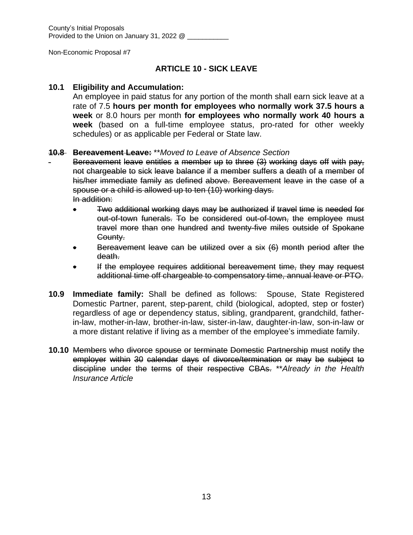# **ARTICLE 10 - SICK LEAVE**

#### **10.1 Eligibility and Accumulation:**

An employee in paid status for any portion of the month shall earn sick leave at a rate of 7.5 **hours per month for employees who normally work 37.5 hours a week** or 8.0 hours per month **for employees who normally work 40 hours a week** (based on a full-time employee status, pro-rated for other weekly schedules) or as applicable per Federal or State law.

#### **10.8 Bereavement Leave:** \*\**Moved to Leave of Absence Section*

Bereavement leave entitles a member up to three (3) working days off with pay, not chargeable to sick leave balance if a member suffers a death of a member of his/her immediate family as defined above. Bereavement leave in the case of a spouse or a child is allowed up to ten (10) working days. In addition:

- Two additional working days may be authorized if travel time is needed for out-of-town funerals. To be considered out-of-town, the employee must travel more than one hundred and twenty-five miles outside of Spokane County.
- Bereavement leave can be utilized over a six (6) month period after the death.
- If the employee requires additional bereavement time, they may request additional time off chargeable to compensatory time, annual leave or PTO.
- **10.9 Immediate family:** Shall be defined as follows: Spouse, State Registered Domestic Partner, parent, step-parent, child (biological, adopted, step or foster) regardless of age or dependency status, sibling, grandparent, grandchild, fatherin-law, mother-in-law, brother-in-law, sister-in-law, daughter-in-law, son-in-law or a more distant relative if living as a member of the employee's immediate family.
- **10.10** Members who divorce spouse or terminate Domestic Partnership must notify the employer within 30 calendar days of divorce/termination or may be subject to discipline under the terms of their respective CBAs. \*\**Already in the Health Insurance Article*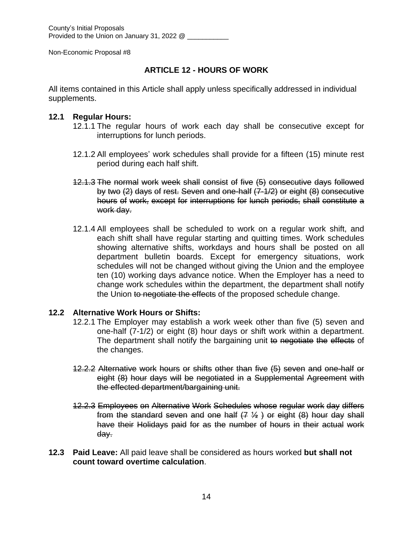# **ARTICLE 12 - HOURS OF WORK**

All items contained in this Article shall apply unless specifically addressed in individual supplements.

# **12.1 Regular Hours:**

- 12.1.1 The regular hours of work each day shall be consecutive except for interruptions for lunch periods.
- 12.1.2 All employees' work schedules shall provide for a fifteen (15) minute rest period during each half shift.
- 12.1.3 The normal work week shall consist of five (5) consecutive days followed by two (2) days of rest. Seven and one-half (7-1/2) or eight (8) consecutive hours of work, except for interruptions for lunch periods, shall constitute a work day.
- 12.1.4 All employees shall be scheduled to work on a regular work shift, and each shift shall have regular starting and quitting times. Work schedules showing alternative shifts, workdays and hours shall be posted on all department bulletin boards. Except for emergency situations, work schedules will not be changed without giving the Union and the employee ten (10) working days advance notice. When the Employer has a need to change work schedules within the department, the department shall notify the Union to negotiate the effects of the proposed schedule change.

# **12.2 Alternative Work Hours or Shifts:**

- 12.2.1 The Employer may establish a work week other than five (5) seven and one-half (7-1/2) or eight (8) hour days or shift work within a department. The department shall notify the bargaining unit to negotiate the effects of the changes.
- 12.2.2 Alternative work hours or shifts other than five (5) seven and one-half or eight (8) hour days will be negotiated in a Supplemental Agreement with the effected department/bargaining unit.
- 12.2.3 Employees on Alternative Work Schedules whose regular work day differs from the standard seven and one half  $(7, 1/2)$  or eight  $(8)$  hour day shall have their Holidays paid for as the number of hours in their actual work day.
- **12.3 Paid Leave:** All paid leave shall be considered as hours worked **but shall not count toward overtime calculation**.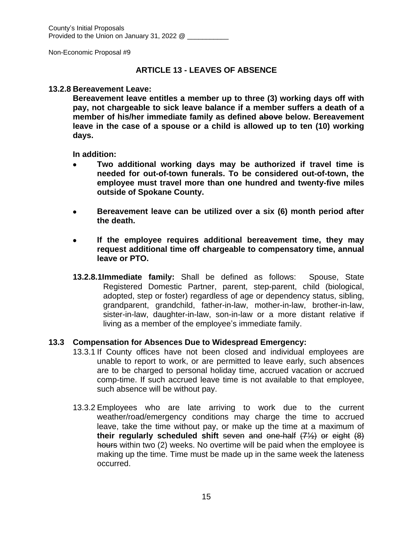# **ARTICLE 13 - LEAVES OF ABSENCE**

#### **13.2.8 Bereavement Leave:**

**Bereavement leave entitles a member up to three (3) working days off with pay, not chargeable to sick leave balance if a member suffers a death of a member of his/her immediate family as defined above below. Bereavement leave in the case of a spouse or a child is allowed up to ten (10) working days.**

**In addition:**

- **Two additional working days may be authorized if travel time is needed for out-of-town funerals. To be considered out-of-town, the employee must travel more than one hundred and twenty-five miles outside of Spokane County.**
- **Bereavement leave can be utilized over a six (6) month period after the death.**
- **If the employee requires additional bereavement time, they may request additional time off chargeable to compensatory time, annual leave or PTO.**
- **13.2.8.1Immediate family:** Shall be defined as follows: Spouse, State Registered Domestic Partner, parent, step-parent, child (biological, adopted, step or foster) regardless of age or dependency status, sibling, grandparent, grandchild, father-in-law, mother-in-law, brother-in-law, sister-in-law, daughter-in-law, son-in-law or a more distant relative if living as a member of the employee's immediate family.

#### **13.3 Compensation for Absences Due to Widespread Emergency:**

- 13.3.1 If County offices have not been closed and individual employees are unable to report to work, or are permitted to leave early, such absences are to be charged to personal holiday time, accrued vacation or accrued comp-time. If such accrued leave time is not available to that employee, such absence will be without pay.
- 13.3.2 Employees who are late arriving to work due to the current weather/road/emergency conditions may charge the time to accrued leave, take the time without pay, or make up the time at a maximum of **their regularly scheduled shift** seven and one-half (7½) or eight (8) hours within two (2) weeks. No overtime will be paid when the employee is making up the time. Time must be made up in the same week the lateness occurred.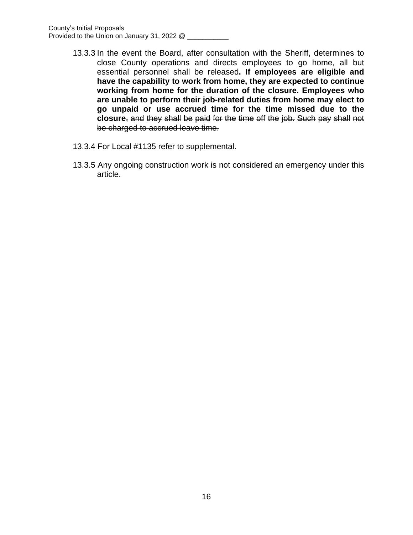- 13.3.3 In the event the Board, after consultation with the Sheriff, determines to close County operations and directs employees to go home, all but essential personnel shall be released**. If employees are eligible and have the capability to work from home, they are expected to continue working from home for the duration of the closure. Employees who are unable to perform their job-related duties from home may elect to go unpaid or use accrued time for the time missed due to the closure**, and they shall be paid for the time off the job. Such pay shall not be charged to accrued leave time.
- 13.3.4 For Local #1135 refer to supplemental.
- 13.3.5 Any ongoing construction work is not considered an emergency under this article.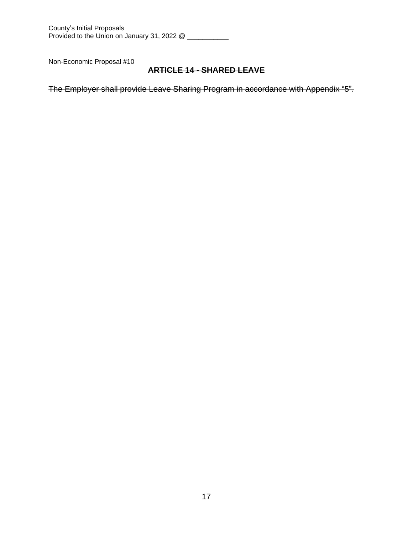County's Initial Proposals Provided to the Union on January 31, 2022 @ \_\_\_\_\_\_\_\_\_\_\_\_

Non-Economic Proposal #10

# **ARTICLE 14 - SHARED LEAVE**

The Employer shall provide Leave Sharing Program in accordance with Appendix "5".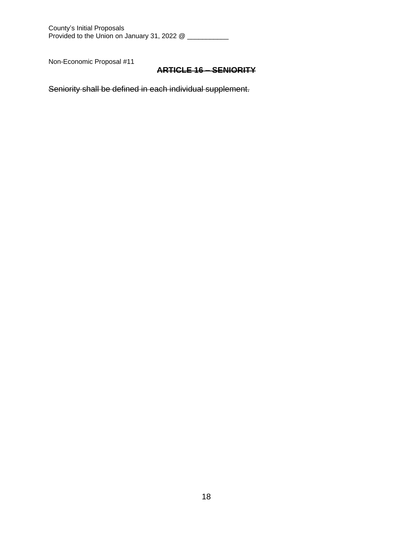County's Initial Proposals Provided to the Union on January 31, 2022 @ \_\_\_\_\_\_\_\_\_\_\_\_

Non-Economic Proposal #11

# **ARTICLE 16 – SENIORITY**

Seniority shall be defined in each individual supplement.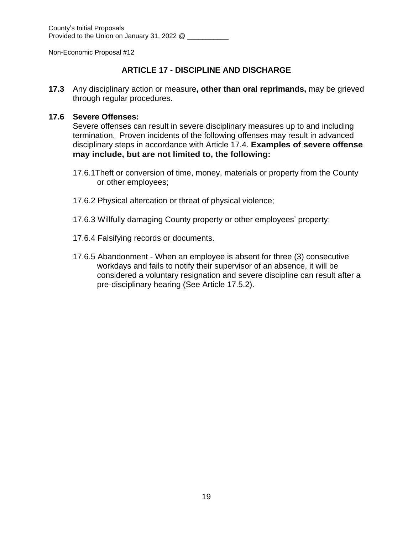# **ARTICLE 17 - DISCIPLINE AND DISCHARGE**

**17.3** Any disciplinary action or measure**, other than oral reprimands,** may be grieved through regular procedures.

# **17.6 Severe Offenses:**

Severe offenses can result in severe disciplinary measures up to and including termination. Proven incidents of the following offenses may result in advanced disciplinary steps in accordance with Article 17.4. **Examples of severe offense may include, but are not limited to, the following:**

- 17.6.1Theft or conversion of time, money, materials or property from the County or other employees;
- 17.6.2 Physical altercation or threat of physical violence;
- 17.6.3 Willfully damaging County property or other employees' property;
- 17.6.4 Falsifying records or documents.
- 17.6.5 Abandonment When an employee is absent for three (3) consecutive workdays and fails to notify their supervisor of an absence, it will be considered a voluntary resignation and severe discipline can result after a pre-disciplinary hearing (See Article 17.5.2).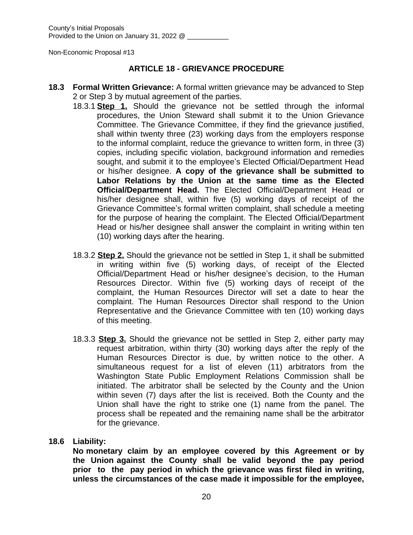# **ARTICLE 18 - GRIEVANCE PROCEDURE**

- **18.3 Formal Written Grievance:** A formal written grievance may be advanced to Step 2 or Step 3 by mutual agreement of the parties.
	- 18.3.1 **Step 1.** Should the grievance not be settled through the informal procedures, the Union Steward shall submit it to the Union Grievance Committee. The Grievance Committee, if they find the grievance justified, shall within twenty three (23) working days from the employers response to the informal complaint, reduce the grievance to written form, in three (3) copies, including specific violation, background information and remedies sought, and submit it to the employee's Elected Official/Department Head or his/her designee. **A copy of the grievance shall be submitted to Labor Relations by the Union at the same time as the Elected Official/Department Head.** The Elected Official/Department Head or his/her designee shall, within five (5) working days of receipt of the Grievance Committee's formal written complaint, shall schedule a meeting for the purpose of hearing the complaint. The Elected Official/Department Head or his/her designee shall answer the complaint in writing within ten (10) working days after the hearing.
	- 18.3.2 **Step 2.** Should the grievance not be settled in Step 1, it shall be submitted in writing within five (5) working days, of receipt of the Elected Official/Department Head or his/her designee's decision, to the Human Resources Director. Within five (5) working days of receipt of the complaint, the Human Resources Director will set a date to hear the complaint. The Human Resources Director shall respond to the Union Representative and the Grievance Committee with ten (10) working days of this meeting.
	- 18.3.3 **Step 3.** Should the grievance not be settled in Step 2, either party may request arbitration, within thirty (30) working days after the reply of the Human Resources Director is due, by written notice to the other. A simultaneous request for a list of eleven (11) arbitrators from the Washington State Public Employment Relations Commission shall be initiated. The arbitrator shall be selected by the County and the Union within seven (7) days after the list is received. Both the County and the Union shall have the right to strike one (1) name from the panel. The process shall be repeated and the remaining name shall be the arbitrator for the grievance.

# **18.6 Liability:**

**No monetary claim by an employee covered by this Agreement or by the Union against the County shall be valid beyond the pay period prior to the pay period in which the grievance was first filed in writing, unless the circumstances of the case made it impossible for the employee,**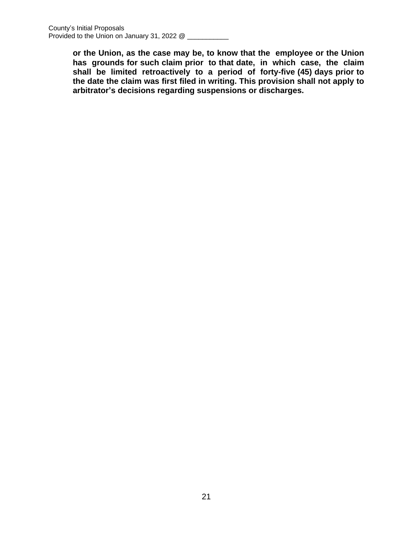**or the Union, as the case may be, to know that the employee or the Union has grounds for such claim prior to that date, in which case, the claim shall be limited retroactively to a period of forty-five (45) days prior to the date the claim was first filed in writing. This provision shall not apply to arbitrator's decisions regarding suspensions or discharges.**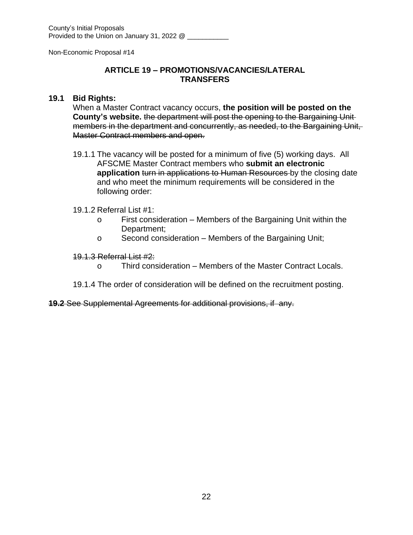# **ARTICLE 19 – PROMOTIONS/VACANCIES/LATERAL TRANSFERS**

#### **19.1 Bid Rights:**

When a Master Contract vacancy occurs, **the position will be posted on the County's website.** the department will post the opening to the Bargaining Unit members in the department and concurrently, as needed, to the Bargaining Unit, Master Contract members and open.

19.1.1 The vacancy will be posted for a minimum of five (5) working days. All AFSCME Master Contract members who **submit an electronic application** turn in applications to Human Resources by the closing date and who meet the minimum requirements will be considered in the following order:

#### 19.1.2 Referral List #1:

- o First consideration Members of the Bargaining Unit within the Department;
- o Second consideration Members of the Bargaining Unit;

#### 19.1.3 Referral List #2:

- o Third consideration Members of the Master Contract Locals.
- 19.1.4 The order of consideration will be defined on the recruitment posting.

#### **19.2** See Supplemental Agreements for additional provisions, if any.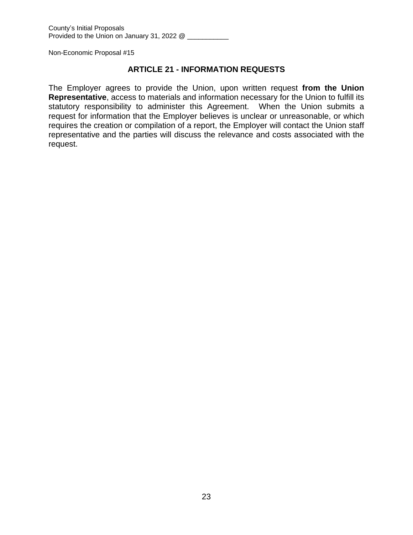#### **ARTICLE 21 - INFORMATION REQUESTS**

The Employer agrees to provide the Union, upon written request **from the Union Representative**, access to materials and information necessary for the Union to fulfill its statutory responsibility to administer this Agreement. When the Union submits a request for information that the Employer believes is unclear or unreasonable, or which requires the creation or compilation of a report, the Employer will contact the Union staff representative and the parties will discuss the relevance and costs associated with the request.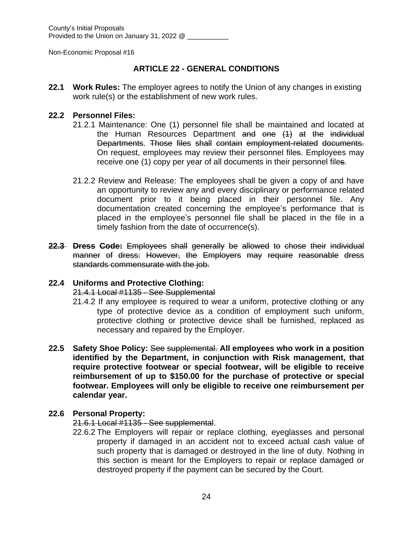# **ARTICLE 22 - GENERAL CONDITIONS**

**22.1 Work Rules:** The employer agrees to notify the Union of any changes in existing work rule(s) or the establishment of new work rules.

#### **22.2 Personnel Files:**

- 21.2.1 Maintenance: One (1) personnel file shall be maintained and located at the Human Resources Department and one (1) at the individual Departments. Those files shall contain employment-related documents. On request, employees may review their personnel files. Employees may receive one (1) copy per year of all documents in their personnel files.
- 21.2.2 Review and Release: The employees shall be given a copy of and have an opportunity to review any and every disciplinary or performance related document prior to it being placed in their personnel file. Any documentation created concerning the employee's performance that is placed in the employee's personnel file shall be placed in the file in a timely fashion from the date of occurrence(s).
- **22.3 Dress Code:** Employees shall generally be allowed to chose their individual manner of dress: However, the Employers may require reasonable dress standards commensurate with the job.

# **22.4 Uniforms and Protective Clothing:**

# 21.4.1 Local #1135 - See Supplemental

- 21.4.2 If any employee is required to wear a uniform, protective clothing or any type of protective device as a condition of employment such uniform, protective clothing or protective device shall be furnished, replaced as necessary and repaired by the Employer.
- **22.5 Safety Shoe Policy:** See supplemental. **All employees who work in a position identified by the Department, in conjunction with Risk management, that require protective footwear or special footwear, will be eligible to receive reimbursement of up to \$150.00 for the purchase of protective or special footwear. Employees will only be eligible to receive one reimbursement per calendar year.**

# **22.6 Personal Property:**

21.6.1 Local #1135 - See supplemental.

22.6.2 The Employers will repair or replace clothing, eyeglasses and personal property if damaged in an accident not to exceed actual cash value of such property that is damaged or destroyed in the line of duty. Nothing in this section is meant for the Employers to repair or replace damaged or destroyed property if the payment can be secured by the Court.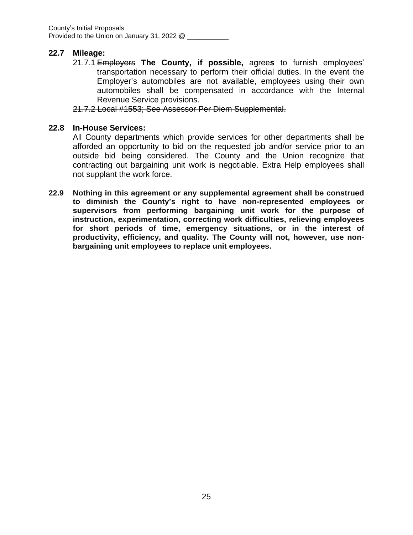# **22.7 Mileage:**

21.7.1 Employers **The County, if possible,** agree**s** to furnish employees' transportation necessary to perform their official duties. In the event the Employer's automobiles are not available, employees using their own automobiles shall be compensated in accordance with the Internal Revenue Service provisions.

21.7.2 Local #1553; See Assessor Per Diem Supplemental.

# **22.8 In-House Services:**

All County departments which provide services for other departments shall be afforded an opportunity to bid on the requested job and/or service prior to an outside bid being considered. The County and the Union recognize that contracting out bargaining unit work is negotiable. Extra Help employees shall not supplant the work force.

**22.9 Nothing in this agreement or any supplemental agreement shall be construed to diminish the County's right to have non-represented employees or supervisors from performing bargaining unit work for the purpose of instruction, experimentation, correcting work difficulties, relieving employees for short periods of time, emergency situations, or in the interest of productivity, efficiency, and quality. The County will not, however, use nonbargaining unit employees to replace unit employees.**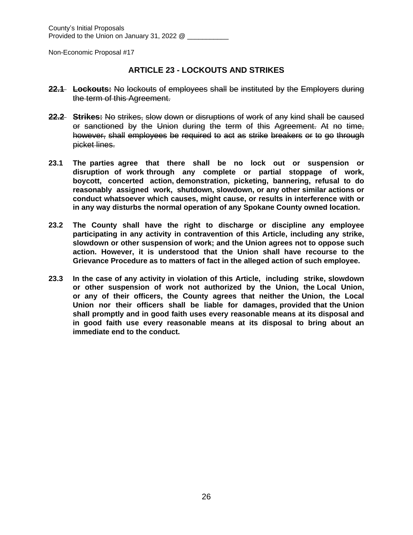# **ARTICLE 23 - LOCKOUTS AND STRIKES**

- **22.1 Lockouts:** No lockouts of employees shall be instituted by the Employers during the term of this Agreement.
- **22.2 Strikes:** No strikes, slow down or disruptions of work of any kind shall be caused or sanctioned by the Union during the term of this Agreement. At no time, however, shall employees be required to act as strike breakers or to go through picket lines.
- **23.1 The parties agree that there shall be no lock out or suspension or disruption of work through any complete or partial stoppage of work, boycott, concerted action, demonstration, picketing, bannering, refusal to do reasonably assigned work, shutdown, slowdown, or any other similar actions or conduct whatsoever which causes, might cause, or results in interference with or in any way disturbs the normal operation of any Spokane County owned location.**
- **23.2 The County shall have the right to discharge or discipline any employee participating in any activity in contravention of this Article, including any strike, slowdown or other suspension of work; and the Union agrees not to oppose such action. However, it is understood that the Union shall have recourse to the Grievance Procedure as to matters of fact in the alleged action of such employee.**
- **23.3 In the case of any activity in violation of this Article, including strike, slowdown or other suspension of work not authorized by the Union, the Local Union, or any of their officers, the County agrees that neither the Union, the Local Union nor their officers shall be liable for damages, provided that the Union shall promptly and in good faith uses every reasonable means at its disposal and in good faith use every reasonable means at its disposal to bring about an immediate end to the conduct.**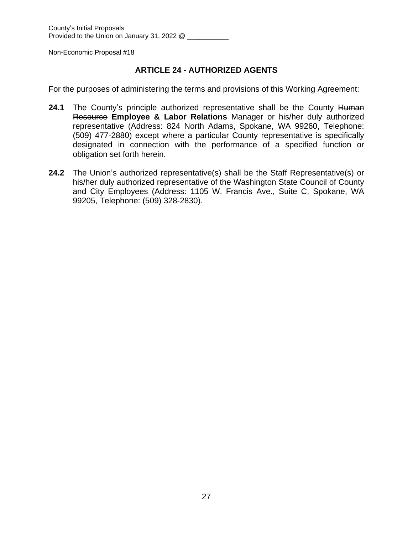# **ARTICLE 24 - AUTHORIZED AGENTS**

For the purposes of administering the terms and provisions of this Working Agreement:

- 24.1 The County's principle authorized representative shall be the County Human Resource **Employee & Labor Relations** Manager or his/her duly authorized representative (Address: 824 North Adams, Spokane, WA 99260, Telephone: (509) 477-2880) except where a particular County representative is specifically designated in connection with the performance of a specified function or obligation set forth herein.
- **24.2** The Union's authorized representative(s) shall be the Staff Representative(s) or his/her duly authorized representative of the Washington State Council of County and City Employees (Address: 1105 W. Francis Ave., Suite C, Spokane, WA 99205, Telephone: (509) 328-2830).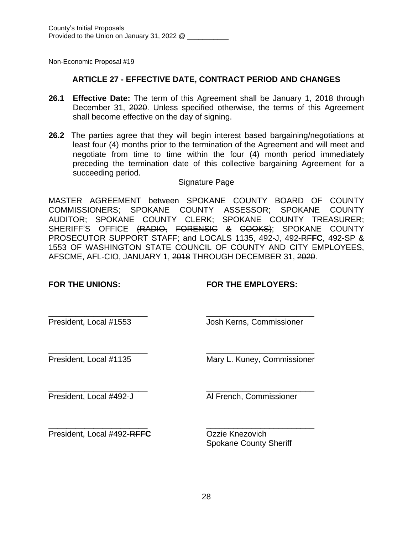# **ARTICLE 27 - EFFECTIVE DATE, CONTRACT PERIOD AND CHANGES**

- **26.1 Effective Date:** The term of this Agreement shall be January 1, 2018 through December 31, 2020. Unless specified otherwise, the terms of this Agreement shall become effective on the day of signing.
- **26.2** The parties agree that they will begin interest based bargaining/negotiations at least four (4) months prior to the termination of the Agreement and will meet and negotiate from time to time within the four (4) month period immediately preceding the termination date of this collective bargaining Agreement for a succeeding period.

#### Signature Page

MASTER AGREEMENT between SPOKANE COUNTY BOARD OF COUNTY COMMISSIONERS; SPOKANE COUNTY ASSESSOR; SPOKANE COUNTY AUDITOR; SPOKANE COUNTY CLERK; SPOKANE COUNTY TREASURER; SHERIFF'S OFFICE (RADIO, FORENSIC & COOKS); SPOKANE COUNTY PROSECUTOR SUPPORT STAFF; and LOCALS 1135, 492-J, 492-RF**FC**, 492-SP & 1553 OF WASHINGTON STATE COUNCIL OF COUNTY AND CITY EMPLOYEES, AFSCME, AFL-CIO, JANUARY 1, 2018 THROUGH DECEMBER 31, 2020.

# **FOR THE UNIONS: FOR THE EMPLOYERS:**

\_\_\_\_\_\_\_\_\_\_\_\_\_\_\_\_\_\_\_\_\_\_ \_\_\_\_\_\_\_\_\_\_\_\_\_\_\_\_\_\_\_\_\_\_\_\_ President, Local #1553 Josh Kerns, Commissioner

\_\_\_\_\_\_\_\_\_\_\_\_\_\_\_\_\_\_\_\_\_\_ \_\_\_\_\_\_\_\_\_\_\_\_\_\_\_\_\_\_\_\_\_\_\_\_ President, Local #1135 Mary L. Kuney, Commissioner

\_\_\_\_\_\_\_\_\_\_\_\_\_\_\_\_\_\_\_\_\_\_ \_\_\_\_\_\_\_\_\_\_\_\_\_\_\_\_\_\_\_\_\_\_\_\_

President, Local #492-J Al French, Commissioner

\_\_\_\_\_\_\_\_\_\_\_\_\_\_\_\_\_\_\_\_\_\_ \_\_\_\_\_\_\_\_\_\_\_\_\_\_\_\_\_\_\_\_\_\_\_\_ President, Local #492-RFFC Ozzie Knezovich

Spokane County Sheriff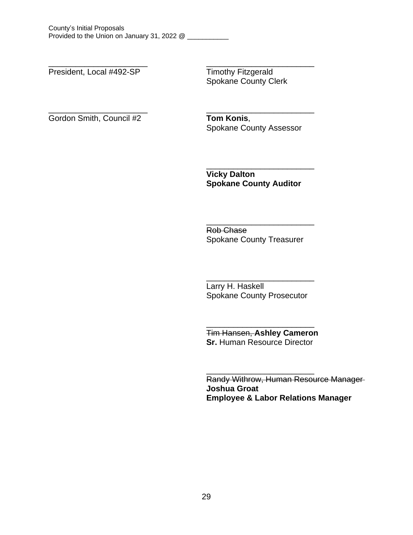President, Local #492-SP Timothy Fitzgerald

\_\_\_\_\_\_\_\_\_\_\_\_\_\_\_\_\_\_\_\_\_\_ \_\_\_\_\_\_\_\_\_\_\_\_\_\_\_\_\_\_\_\_\_\_\_\_ Spokane County Clerk

\_\_\_\_\_\_\_\_\_\_\_\_\_\_\_\_\_\_\_\_\_\_ \_\_\_\_\_\_\_\_\_\_\_\_\_\_\_\_\_\_\_\_\_\_\_\_ Gordon Smith, Council #2 **Tom Konis**,

Spokane County Assessor

\_\_\_\_\_\_\_\_\_\_\_\_\_\_\_\_\_\_\_\_\_\_\_\_ **Vicky Dalton Spokane County Auditor**

Rob Chase Spokane County Treasurer

\_\_\_\_\_\_\_\_\_\_\_\_\_\_\_\_\_\_\_\_\_\_\_\_

\_\_\_\_\_\_\_\_\_\_\_\_\_\_\_\_\_\_\_\_\_\_\_\_ Larry H. Haskell Spokane County Prosecutor

\_\_\_\_\_\_\_\_\_\_\_\_\_\_\_\_\_\_\_\_\_\_\_\_ Tim Hansen, **Ashley Cameron Sr.** Human Resource Director

\_\_\_\_\_\_\_\_\_\_\_\_\_\_\_\_\_\_\_\_\_\_\_\_ Randy Withrow, Human Resource Manager **Joshua Groat Employee & Labor Relations Manager**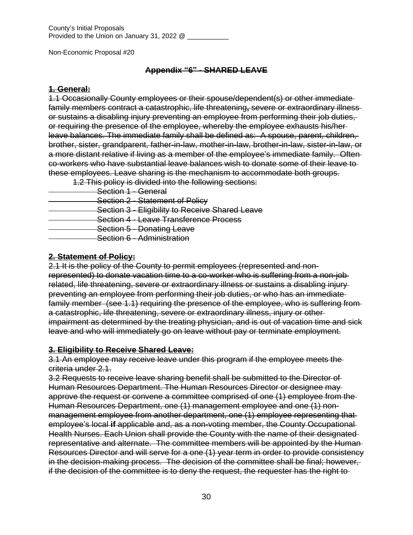# **Appendix "6" - SHARED LEAVE**

#### **1. General:**

1.1 Occasionally County employees or their spouse/dependent(s) or other immediate family members contract a catastrophic, life threatening**,** severe or extraordinary illness or sustains a disabling injury preventing an employee from performing their job duties, or requiring the presence of the employee, whereby the employee exhausts his/her leave balances. The immediate family shall be defined as: A spouse, parent, children, brother, sister, grandparent, father-in-law, mother-in-law, brother-in-law, sister-in-law, or a more distant relative if living as a member of the employee's immediate family. Often co-workers who have substantial leave balances wish to donate some of their leave to these employees. Leave sharing is the mechanism to accommodate both groups.

1.2 This policy is divided into the following sections:

- Section 1 General
- **Section 2 Statement of Policy**
- **Section 3 Eligibility to Receive Shared Leave**
- Section 4 Leave Transference Process
- **Section 5 Donating Leave**
- Section 6 Administration

# **2. Statement of Policy:**

2.1 It is the policy of the County to permit employees (represented and nonrepresented) to donate vacation time to a co-worker who is suffering from a non-job related, life threatening, severe or extraordinary illness or sustains a disabling injury preventing an employee from performing their job duties, or who has an immediate family member (see 1.1) requiring the presence of the employee, who is suffering from a catastrophic, life threatening, severe or extraordinary illness, injury or other impairment as determined by the treating physician, and is out of vacation time and sick leave and who will immediately go on leave without pay or terminate employment.

# **3. Eligibility to Receive Shared Leave:**

3.1 An employee may receive leave under this program if the employee meets the criteria under 2.1.

3.2 Requests to receive leave sharing benefit shall be submitted to the Director of Human Resources Department. The Human Resources Director or designee may approve the request or convene a committee comprised of one (1) employee from the Human Resources Department, one (1) management employee and one (1) nonmanagement employee from another department, one (1) employee representing that employee's local **if** applicable and, as a non-voting member, the County Occupational Health Nurses. Each Union shall provide the County with the name of their designated representative and alternate. The committee members will be appointed by the Human Resources Director and will serve for a one (1) year term in order to provide consistency in the decision-making process. The decision of the committee shall be final; however, if the decision of the committee is to deny the request, the requester has the right to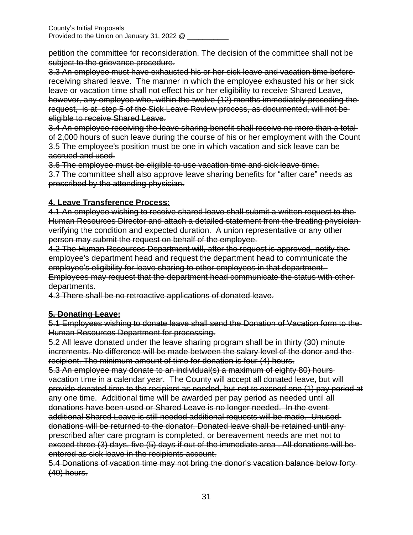petition the committee for reconsideration. The decision of the committee shall not be subject to the grievance procedure.

3.3 An employee must have exhausted his or her sick leave and vacation time before receiving shared leave. The manner in which the employee exhausted his or her sick leave or vacation time shall not effect his or her eligibility to receive Shared Leave, however, any employee who, within the twelve (12) months immediately preceding the request, is at step 5 of the Sick Leave Review process, as documented, will not be eligible to receive Shared Leave.

3.4 An employee receiving the leave sharing benefit shall receive no more than a total of 2,000 hours of such leave during the course of his or her employment with the Count 3.5 The employee's position must be one in which vacation and sick leave can be accrued and used.

3.6 The employee must be eligible to use vacation time and sick leave time.

3.7 The committee shall also approve leave sharing benefits for "after care" needs as prescribed by the attending physician.

# **4. Leave Transference Process:**

4.1 An employee wishing to receive shared leave shall submit a written request to the Human Resources Director and attach a detailed statement from the treating physician verifying the condition and expected duration. A union representative or any other person may submit the request on behalf of the employee.

4.2 The Human Resources Department will, after the request is approved, notify the employee's department head and request the department head to communicate the employee's eligibility for leave sharing to other employees in that department. Employees may request that the department head communicate the status with other departments.

4.3 There shall be no retroactive applications of donated leave.

# **5. Donating Leave:**

5.1 Employees wishing to donate leave shall send the Donation of Vacation form to the Human Resources Department for processing.

5.2 All leave donated under the leave sharing program shall be in thirty (30) minute increments. No difference will be made between the salary level of the donor and the recipient. The minimum amount of time for donation is four (4) hours.

5.3 An employee may donate to an individual(s) a maximum of eighty 80) hours vacation time in a calendar year. The County will accept all donated leave, but will provide donated time to the recipient as needed, but not to exceed one (1) pay period at any one time. Additional time will be awarded per pay period as needed until all donations have been used or Shared Leave is no longer needed. In the event additional Shared Leave is still needed additional requests will be made. Unused donations will be returned to the donator. Donated leave shall be retained until any prescribed after care program is completed, or bereavement needs are met not to exceed three (3) days, five (5) days if out of the immediate area . All donations will be entered as sick leave in the recipients account.

5.4 Donations of vacation time may not bring the donor's vacation balance below forty (40) hours.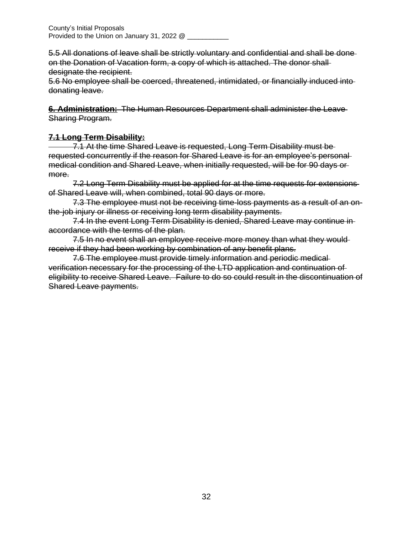5.5 All donations of leave shall be strictly voluntary and confidential and shall be done on the Donation of Vacation form, a copy of which is attached. The donor shall designate the recipient.

5.6 No employee shall be coerced, threatened, intimidated, or financially induced into donating leave.

**6. Administration:** The Human Resources Department shall administer the Leave Sharing Program.

# **7.1 Long Term Disability:**

 7.1 At the time Shared Leave is requested, Long Term Disability must be requested concurrently if the reason for Shared Leave is for an employee's personal medical condition and Shared Leave, when initially requested, will be for 90 days or more.

7.2 Long Term Disability must be applied for at the time requests for extensions of Shared Leave will, when combined, total 90 days or more.

7.3 The employee must not be receiving time-loss payments as a result of an onthe-job injury or illness or receiving long term disability payments.

7.4 In the event Long Term Disability is denied, Shared Leave may continue in accordance with the terms of the plan.

7.5 In no event shall an employee receive more money than what they would receive if they had been working by combination of any benefit plans.

7.6 The employee must provide timely information and periodic medical verification necessary for the processing of the LTD application and continuation of eligibility to receive Shared Leave. Failure to do so could result in the discontinuation of Shared Leave payments.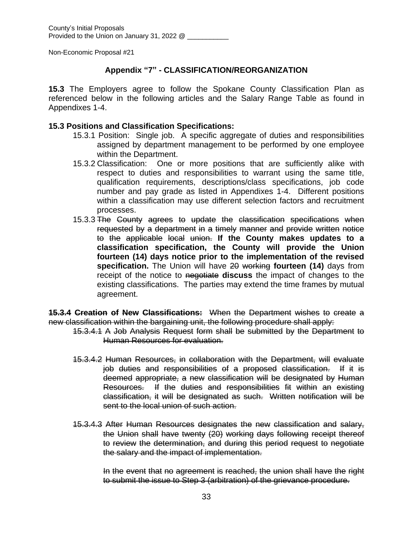# **Appendix "7" - CLASSIFICATION/REORGANIZATION**

**15.3** The Employers agree to follow the Spokane County Classification Plan as referenced below in the following articles and the Salary Range Table as found in Appendixes 1-4.

#### **15.3 Positions and Classification Specifications:**

- 15.3.1 Position: Single job. A specific aggregate of duties and responsibilities assigned by department management to be performed by one employee within the Department.
- 15.3.2 Classification: One or more positions that are sufficiently alike with respect to duties and responsibilities to warrant using the same title, qualification requirements, descriptions/class specifications, job code number and pay grade as listed in Appendixes 1-4. Different positions within a classification may use different selection factors and recruitment processes.
- 15.3.3 The County agrees to update the classification specifications when requested by a department in a timely manner and provide written notice to the applicable local union. **If the County makes updates to a classification specification, the County will provide the Union fourteen (14) days notice prior to the implementation of the revised specification.** The Union will have 20 working **fourteen (14)** days from receipt of the notice to negotiate **discuss** the impact of changes to the existing classifications. The parties may extend the time frames by mutual agreement.

**15.3.4 Creation of New Classifications:** When the Department wishes to create a new classification within the bargaining unit, the following procedure shall apply:

- 15.3.4.1 A Job Analysis Request form shall be submitted by the Department to Human Resources for evaluation.
- 15.3.4.2 Human Resources, in collaboration with the Department, will evaluate job duties and responsibilities of a proposed classification. If it is deemed appropriate, a new classification will be designated by Human Resources. If the duties and responsibilities fit within an existing classification, it will be designated as such. Written notification will be sent to the local union of such action.
- 15.3.4.3 After Human Resources designates the new classification and salary, the Union shall have twenty (20) working days following receipt thereof to review the determination, and during this period request to negotiate the salary and the impact of implementation.

In the event that no agreement is reached, the union shall have the right to submit the issue to Step 3 (arbitration) of the grievance procedure.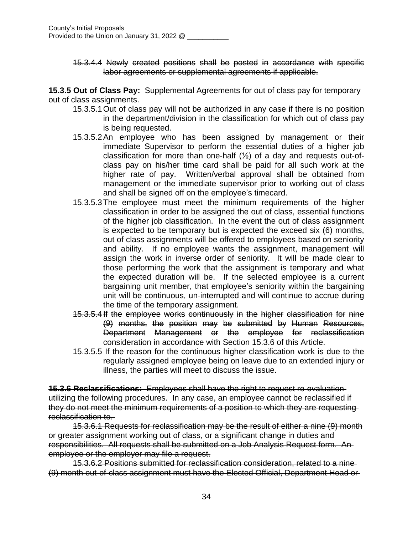15.3.4.4 Newly created positions shall be posted in accordance with specific labor agreements or supplemental agreements if applicable.

**15.3.5 Out of Class Pay:** Supplemental Agreements for out of class pay for temporary out of class assignments.

- 15.3.5.1Out of class pay will not be authorized in any case if there is no position in the department/division in the classification for which out of class pay is being requested.
- 15.3.5.2An employee who has been assigned by management or their immediate Supervisor to perform the essential duties of a higher job classification for more than one-half  $(\frac{1}{2})$  of a day and requests out-ofclass pay on his/her time card shall be paid for all such work at the higher rate of pay. Written/verbal approval shall be obtained from management or the immediate supervisor prior to working out of class and shall be signed off on the employee's timecard.
- 15.3.5.3The employee must meet the minimum requirements of the higher classification in order to be assigned the out of class, essential functions of the higher job classification. In the event the out of class assignment is expected to be temporary but is expected the exceed six (6) months, out of class assignments will be offered to employees based on seniority and ability. If no employee wants the assignment, management will assign the work in inverse order of seniority. It will be made clear to those performing the work that the assignment is temporary and what the expected duration will be. If the selected employee is a current bargaining unit member, that employee's seniority within the bargaining unit will be continuous, un-interrupted and will continue to accrue during the time of the temporary assignment.
- 15.3.5.4If the employee works continuously in the higher classification for nine (9) months, the position may be submitted by Human Resources, Department Management or the employee for reclassification consideration in accordance with Section 15.3.6 of this Article.
- 15.3.5.5 If the reason for the continuous higher classification work is due to the regularly assigned employee being on leave due to an extended injury or illness, the parties will meet to discuss the issue.

**15.3.6 Reclassifications:** Employees shall have the right to request re-evaluation utilizing the following procedures. In any case, an employee cannot be reclassified if they do not meet the minimum requirements of a position to which they are requesting reclassification to.

15.3.6.1 Requests for reclassification may be the result of either a nine (9) month or greater assignment working out of class, or a significant change in duties and responsibilities. All requests shall be submitted on a Job Analysis Request form. An employee or the employer may file a request.

15.3.6.2 Positions submitted for reclassification consideration, related to a nine (9) month out-of-class assignment must have the Elected Official, Department Head or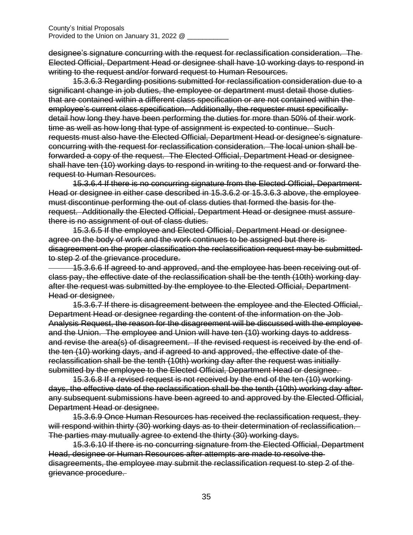designee's signature concurring with the request for reclassification consideration. The Elected Official, Department Head or designee shall have 10 working days to respond in writing to the request and/or forward request to Human Resources.

15.3.6.3 Regarding positions submitted for reclassification consideration due to a significant change in job duties, the employee or department must detail those duties that are contained within a different class specification or are not contained within the employee's current class specification. Additionally, the requester must specifically detail how long they have been performing the duties for more than 50% of their work time as well as how long that type of assignment is expected to continue. Such requests must also have the Elected Official, Department Head or designee's signature concurring with the request for reclassification consideration. The local union shall be forwarded a copy of the request. The Elected Official, Department Head or designee shall have ten (10) working days to respond in writing to the request and or forward the request to Human Resources.

15.3.6.4 If there is no concurring signature from the Elected Official, Department Head or designee in either case described in 15.3.6.2 or 15.3.6.3 above, the employee must discontinue performing the out of class duties that formed the basis for the request. Additionally the Elected Official, Department Head or designee must assure there is no assignment of out of class duties.

15.3.6.5 If the employee and Elected Official, Department Head or designee agree on the body of work and the work continues to be assigned but there is disagreement on the proper classification the reclassification request may be submitted to step 2 of the grievance procedure.

 15.3.6.6 If agreed to and approved, and the employee has been receiving out of class pay, the effective date of the reclassification shall be the tenth (10th) working day after the request was submitted by the employee to the Elected Official, Department Head or designee.

15.3.6.7 If there is disagreement between the employee and the Elected Official, Department Head or designee regarding the content of the information on the Job Analysis Request, the reason for the disagreement will be discussed with the employee and the Union. The employee and Union will have ten (10) working days to address and revise the area(s) of disagreement. If the revised request is received by the end of the ten (10) working days, and if agreed to and approved, the effective date of the reclassification shall be the tenth (10th) working day after the request was initially submitted by the employee to the Elected Official, Department Head or designee.

15.3.6.8 If a revised request is not received by the end of the ten (10) working days, the effective date of the reclassification shall be the tenth (10th) working day after any subsequent submissions have been agreed to and approved by the Elected Official, Department Head or designee.

15.3.6.9 Once Human Resources has received the reclassification request, they will respond within thirty (30) working days as to their determination of reclassification. The parties may mutually agree to extend the thirty (30) working days.

15.3.6.10 If there is no concurring signature from the Elected Official, Department Head, designee or Human Resources after attempts are made to resolve the disagreements, the employee may submit the reclassification request to step 2 of the grievance procedure.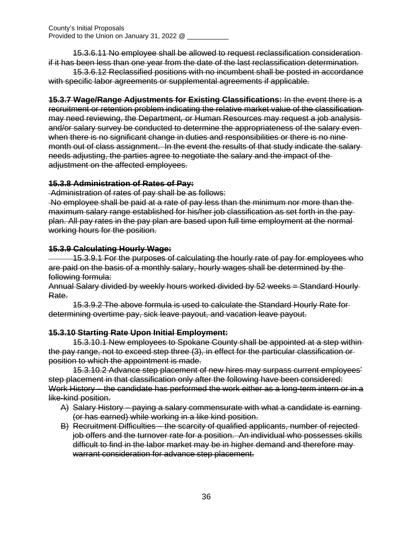15.3.6.11 No employee shall be allowed to request reclassification consideration if it has been less than one year from the date of the last reclassification determination.

15.3.6.12 Reclassified positions with no incumbent shall be posted in accordance with specific labor agreements or supplemental agreements if applicable.

**15.3.7 Wage/Range Adjustments for Existing Classifications:** In the event there is a recruitment or retention problem indicating the relative market value of the classification may need reviewing, the Department*,* or Human Resources may request a job analysis and/or salary survey be conducted to determine the appropriateness of the salary even when there is no significant change in duties and responsibilities or there is no nine month out of class assignment. In the event the results of that study indicate the salary needs adjusting, the parties agree to negotiate the salary and the impact of the adjustment on the affected employees.

# **15.3.8 Administration of Rates of Pay:**

Administration of rates of pay shall be as follows:

No employee shall be paid at a rate of pay less than the minimum nor more than the maximum salary range established for his/her job classification as set forth in the pay plan. All pay rates in the pay plan are based upon full time employment at the normal working hours for the position.

# **15.3.9 Calculating Hourly Wage:**

 15.3.9.1 For the purposes of calculating the hourly rate of pay for employees who are paid on the basis of a monthly salary, hourly wages shall be determined by the following formula:

Annual Salary divided by weekly hours worked divided by 52 weeks = Standard Hourly Rate.

15.3.9.2 The above formula is used to calculate the Standard Hourly Rate for determining overtime pay, sick leave payout, and vacation leave payout.

# **15.3.10 Starting Rate Upon Initial Employment:**

15.3.10.1 New employees to Spokane County shall be appointed at a step within the pay range, not to exceed step three (3), in effect for the particular classification or position to which the appointment is made.

15.3.10.2 Advance step placement of new hires may surpass current employees' step placement in that classification only after the following have been considered: Work History – the candidate has performed the work either as a long-term intern or in a like-kind position.

- A) Salary History paying a salary commensurate with what a candidate is earning (or has earned) while working in a like kind position.
- B) Recruitment Difficulties the scarcity of qualified applicants, number of rejected job offers and the turnover rate for a position. An individual who possesses skills difficult to find in the labor market may be in higher demand and therefore may warrant consideration for advance step placement.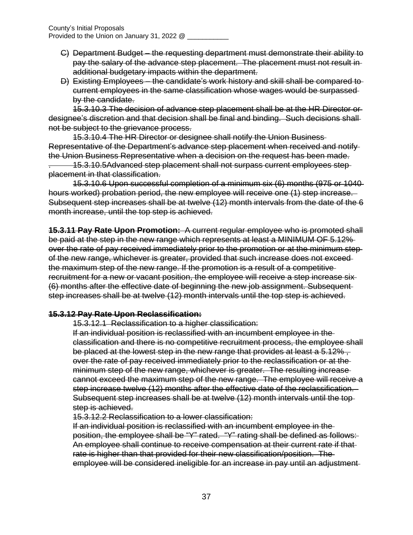- C) Department Budget the requesting department must demonstrate their ability to pay the salary of the advance step placement. The placement must not result in additional budgetary impacts within the department.
- D) Existing Employees the candidate's work history and skill shall be compared to current employees in the same classification whose wages would be surpassed by the candidate.

15.3.10.3 The decision of advance step placement shall be at the HR Director or designee's discretion and that decision shall be final and binding. Such decisions shall not be subject to the grievance process.

15.3.10.4 The HR Director or designee shall notify the Union Business Representative of the Department's advance step placement when received and notify the Union Business Representative when a decision on the request has been made.

. 15.3.10.5Advanced step placement shall not surpass current employees step placement in that classification.

15.3.10.6 Upon successful completion of a minimum six (6) months (975 or 1040 hours worked) probation period, the new employee will receive one (1) step increase. Subsequent step increases shall be at twelve (12) month intervals from the date of the 6 month increase, until the top step is achieved.

**15.3.11 Pay Rate Upon Promotion:** A current regular employee who is promoted shall be paid at the step in the new range which represents at least a MINIMUM OF 5.12% over the rate of pay received immediately prior to the promotion or at the minimum step of the new range, whichever is greater, provided that such increase does not exceed the maximum step of the new range. If the promotion is a result of a competitive recruitment for a new or vacant position, the employee will receive a step increase six (6) months after the effective date of beginning the new job assignment. Subsequent step increases shall be at twelve (12) month intervals until the top step is achieved.

# **15.3.12 Pay Rate Upon Reclassification:**

15.3.12.1 Reclassification to a higher classification:

If an individual position is reclassified with an incumbent employee in the classification and there is no competitive recruitment process, the employee shall be placed at the lowest step in the new range that provides at least a 5.12%, over the rate of pay received immediately prior to the reclassification or at the minimum step of the new range, whichever is greater. The resulting increase cannot exceed the maximum step of the new range. The employee will receive a step increase twelve (12) months after the effective date of the reclassification. Subsequent step increases shall be at twelve (12) month intervals until the top step is achieved.

15.3.12.2 Reclassification to a lower classification:

If an individual position is reclassified with an incumbent employee in the position, the employee shall be "Y" rated. "Y" rating shall be defined as follows: An employee shall continue to receive compensation at their current rate if that rate is higher than that provided for their new classification/position. The employee will be considered ineligible for an increase in pay until an adjustment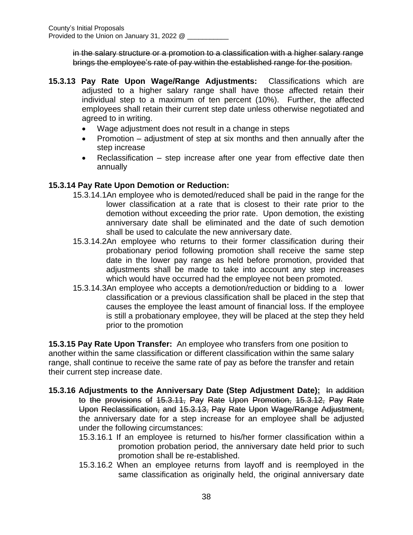in the salary structure or a promotion to a classification with a higher salary range brings the employee's rate of pay within the established range for the position.

- **15.3.13 Pay Rate Upon Wage/Range Adjustments:** Classifications which are adjusted to a higher salary range shall have those affected retain their individual step to a maximum of ten percent (10%). Further, the affected employees shall retain their current step date unless otherwise negotiated and agreed to in writing.
	- Wage adjustment does not result in a change in steps
	- Promotion adjustment of step at six months and then annually after the step increase
	- Reclassification step increase after one year from effective date then annually

# **15.3.14 Pay Rate Upon Demotion or Reduction:**

- 15.3.14.1An employee who is demoted/reduced shall be paid in the range for the lower classification at a rate that is closest to their rate prior to the demotion without exceeding the prior rate. Upon demotion, the existing anniversary date shall be eliminated and the date of such demotion shall be used to calculate the new anniversary date.
- 15.3.14.2An employee who returns to their former classification during their probationary period following promotion shall receive the same step date in the lower pay range as held before promotion, provided that adjustments shall be made to take into account any step increases which would have occurred had the employee not been promoted.
- 15.3.14.3An employee who accepts a demotion/reduction or bidding to a lower classification or a previous classification shall be placed in the step that causes the employee the least amount of financial loss. If the employee is still a probationary employee, they will be placed at the step they held prior to the promotion

**15.3.15 Pay Rate Upon Transfer:** An employee who transfers from one position to another within the same classification or different classification within the same salary range, shall continue to receive the same rate of pay as before the transfer and retain their current step increase date.

- **15.3.16 Adjustments to the Anniversary Date (Step Adjustment Date):** In addition to the provisions of 15.3.11, Pay Rate Upon Promotion, 15.3.12, Pay Rate Upon Reclassification, and 15.3.13, Pay Rate Upon Wage/Range Adjustment, the anniversary date for a step increase for an employee shall be adjusted under the following circumstances:
	- 15.3.16.1 If an employee is returned to his/her former classification within a promotion probation period, the anniversary date held prior to such promotion shall be re-established.
	- 15.3.16.2 When an employee returns from layoff and is reemployed in the same classification as originally held, the original anniversary date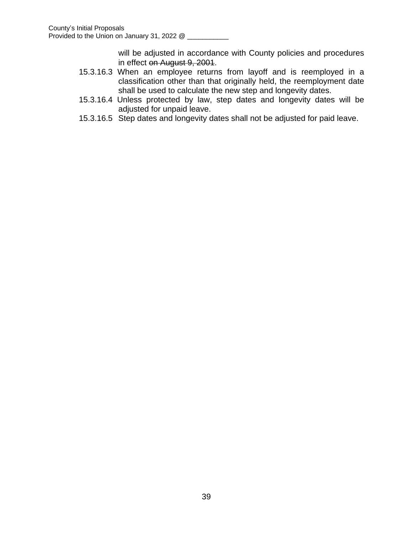will be adjusted in accordance with County policies and procedures in effect on August 9, 2001.

- 15.3.16.3 When an employee returns from layoff and is reemployed in a classification other than that originally held, the reemployment date shall be used to calculate the new step and longevity dates.
- 15.3.16.4 Unless protected by law, step dates and longevity dates will be adjusted for unpaid leave.
- 15.3.16.5 Step dates and longevity dates shall not be adjusted for paid leave.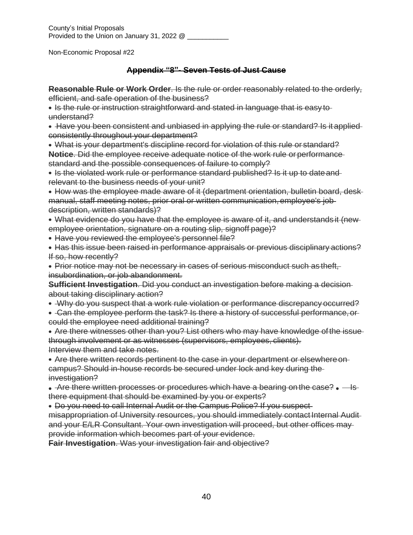County's Initial Proposals Provided to the Union on January 31, 2022 @ \_\_\_\_\_\_

Non-Economic Proposal #22

# **Appendix "8"- Seven Tests of Just Cause**

**Reasonable Rule or Work Order**. Is the rule or order reasonably related to the orderly, efficient, and safe operation of the business?

• Is the rule or instruction straightforward and stated in language that is easy to understand?

Have you been consistent and unbiased in applying the rule or standard? Is it applied consistently throughout your department?

What is your department's discipline record for violation of this rule or standard? **Notice**. Did the employee receive adequate notice of the work rule or performance standard and the possible consequences of failure to comply?

• Is the violated work rule or performance standard published? Is it up to date and relevant to the business needs of your unit?

• How was the employee made aware of it (department orientation, bulletin board, deskmanual, staff meeting notes, prior oral or written communication, employee's job description, written standards)?

What evidence do you have that the employee is aware of it, and understands it (new employee orientation, signature on a routing slip, signoff page)?

- Have you reviewed the employee's personnel file?
- Has this issue been raised in performance appraisals or previous disciplinary actions? If so, how recently?

Prior notice may not be necessary in cases of serious misconduct such as theft, insubordination, or job abandonment.

**Sufficient Investigation**. Did you conduct an investigation before making a decision about taking disciplinary action?

- Why do you suspect that a work rule violation or performance discrepancy occurred?
- Can the employee perform the task? Is there a history of successful performance, or could the employee need additional training?

Are there witnesses other than you? List others who may have knowledge ofthe issue through involvement or as witnesses (supervisors, employees, clients). Interview them and take notes.

Are there written records pertinent to the case in your department or elsewhereon campus? Should in-house records be secured under lock and key during the investigation?

- $\bullet$  Are there written processes or procedures which have a bearing on the case?  $\bullet$  Isthere equipment that should be examined by you or experts?
- Do you need to call Internal Audit or the Campus Police? If you suspect-

misappropriation of University resources, you should immediately contact Internal Audit and your E/LR Consultant. Your own investigation will proceed, but other offices may provide information which becomes part of your evidence.

**Fair Investigation**. Was your investigation fair and objective?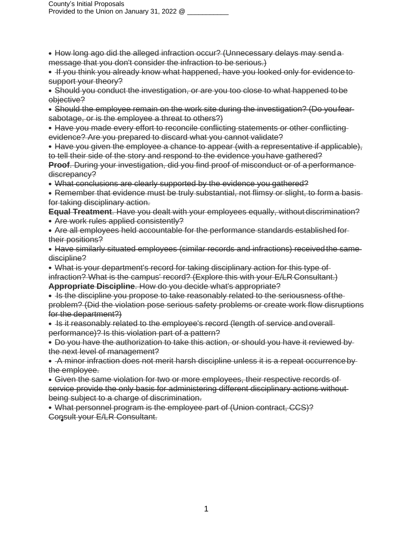- How long ago did the alleged infraction occur? (Unnecessary delays may send a message that you don't consider the infraction to be serious.)
- If you think you already know what happened, have you looked only for evidence to support your theory?
- Should you conduct the investigation, or are you too close to what happened tobe objective?
- Should the employee remain on the work site during the investigation? (Do youfear sabotage, or is the employee a threat to others?)
- Have you made every effort to reconcile conflicting statements or other conflicting evidence? Are you prepared to discard what you cannot validate?
- Have you given the employee a chance to appear (with a representative if applicable), to tell their side of the story and respond to the evidence youhave gathered?
- **Proof.** During your investigation, did you find proof of misconduct or of a performance discrepancy?
- What conclusions are clearly supported by the evidence you gathered?
- Remember that evidence must be truly substantial, not flimsy or slight, to form a basis for taking disciplinary action.
- **Equal Treatment**. Have you dealt with your employees equally, without discrimination? Are work rules applied consistently?
- Are all employees held accountable for the performance standards established for their positions?
- Have similarly situated employees (similar records and infractions) received the same discipline?
- What is your department's record for taking disciplinary action for this type of infraction? What is the campus' record? (Explore this with your E/LR Consultant.)

**Appropriate Discipline**. How do you decide what's appropriate?

- Is the discipline you propose to take reasonably related to the seriousness of the problem? (Did the violation pose serious safety problems or create work flow disruptions for the department?)
- Is it reasonably related to the employee's record (length of service and overall performance)? Is this violation part of a pattern?
- Do you have the authorization to take this action, or should you have it reviewed bythe next level of management?
- A minor infraction does not merit harsh discipline unless it is a repeat occurrence by the employee.
- Given the same violation for two or more employees, their respective records of service provide the only basis for administering different disciplinary actions withoutbeing subject to a charge of discrimination.
- What personnel program is the employee part of (Union contract, CCS)? Consult your E/LR Consultant.